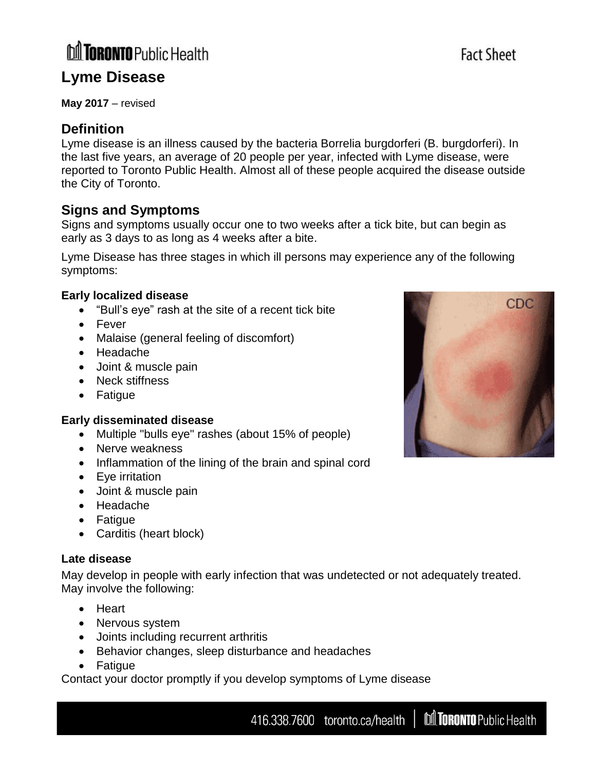## **M TORONTO** Public Health **Lyme Disease**

# **May 2017** – revised

### **Definition**

Lyme disease is an illness caused by the bacteria Borrelia burgdorferi (B. burgdorferi). In the last five years, an average of 20 people per year, infected with Lyme disease, were reported to Toronto Public Health. Almost all of these people acquired the disease outside the City of Toronto.

#### **Signs and Symptoms**

Signs and symptoms usually occur one to two weeks after a tick bite, but can begin as early as 3 days to as long as 4 weeks after a bite.

Lyme Disease has three stages in which ill persons may experience any of the following symptoms:

#### **Early localized disease**

- "Bull's eye" rash at the site of a recent tick bite
- Fever
- Malaise (general feeling of discomfort)
- Headache
- Joint & muscle pain
- Neck stiffness
- Fatigue

#### **Early disseminated disease**

- Multiple "bulls eye" rashes (about 15% of people)
- Nerve weakness
- Inflammation of the lining of the brain and spinal cord
- Eye irritation
- Joint & muscle pain
- Headache
- Fatigue
- Carditis (heart block)

#### **Late disease**

May develop in people with early infection that was undetected or not adequately treated. May involve the following:

- Heart
- Nervous system
- Joints including recurrent arthritis
- Behavior changes, sleep disturbance and headaches
- Fatigue

Contact your doctor promptly if you develop symptoms of Lyme disease





## **Fact Sheet**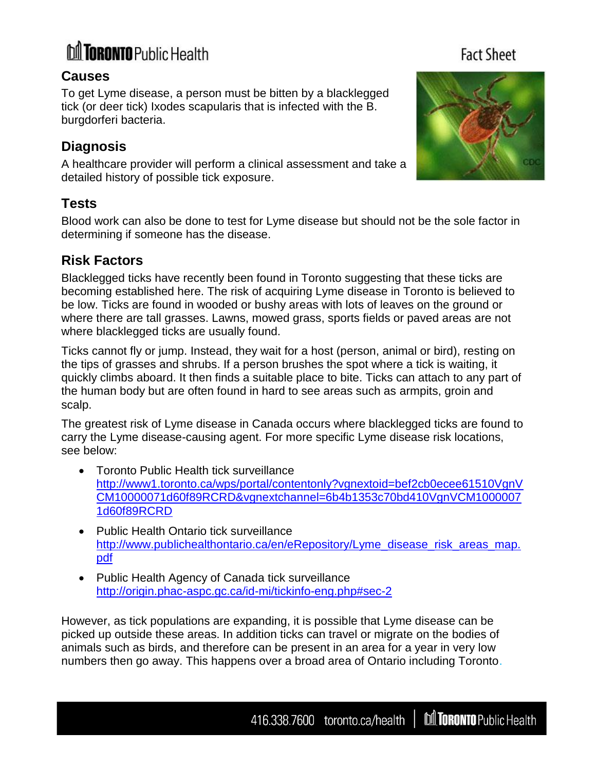# **M** TORONTO Public Health

#### **Causes**

To get Lyme disease, a person must be bitten by a blacklegged tick (or deer tick) Ixodes scapularis that is infected with the B. burgdorferi bacteria.

### **Diagnosis**

A healthcare provider will perform a clinical assessment and take a detailed history of possible tick exposure.

### **Tests**

Blood work can also be done to test for Lyme disease but should not be the sole factor in determining if someone has the disease.

### **Risk Factors**

Blacklegged ticks have recently been found in Toronto suggesting that these ticks are becoming established here. The risk of acquiring Lyme disease in Toronto is believed to be low. Ticks are found in wooded or bushy areas with lots of leaves on the ground or where there are tall grasses. Lawns, mowed grass, sports fields or paved areas are not where blacklegged ticks are usually found.

Ticks cannot fly or jump. Instead, they wait for a host (person, animal or bird), resting on the tips of grasses and shrubs. If a person brushes the spot where a tick is waiting, it quickly climbs aboard. It then finds a suitable place to bite. Ticks can attach to any part of the human body but are often found in hard to see areas such as armpits, groin and scalp.

The greatest risk of Lyme disease in Canada occurs where blacklegged ticks are found to carry the Lyme disease-causing agent. For more specific Lyme disease risk locations, see below:

- Toronto Public Health tick surveillance [http://www1.toronto.ca/wps/portal/contentonly?vgnextoid=bef2cb0ecee61510VgnV](http://www1.toronto.ca/wps/portal/contentonly?vgnextoid=bef2cb0ecee61510VgnVCM10000071d60f89RCRD&vgnextchannel=6b4b1353c70bd410VgnVCM10000071d60f89RCRD) [CM10000071d60f89RCRD&vgnextchannel=6b4b1353c70bd410VgnVCM1000007](http://www1.toronto.ca/wps/portal/contentonly?vgnextoid=bef2cb0ecee61510VgnVCM10000071d60f89RCRD&vgnextchannel=6b4b1353c70bd410VgnVCM10000071d60f89RCRD) [1d60f89RCRD](http://www1.toronto.ca/wps/portal/contentonly?vgnextoid=bef2cb0ecee61510VgnVCM10000071d60f89RCRD&vgnextchannel=6b4b1353c70bd410VgnVCM10000071d60f89RCRD)
- Public Health Ontario tick surveillance [http://www.publichealthontario.ca/en/eRepository/Lyme\\_disease\\_risk\\_areas\\_map.](http://www.publichealthontario.ca/en/eRepository/Lyme_disease_risk_areas_map.pdf) [pdf](http://www.publichealthontario.ca/en/eRepository/Lyme_disease_risk_areas_map.pdf)
- Public Health Agency of Canada tick surveillance <http://origin.phac-aspc.gc.ca/id-mi/tickinfo-eng.php#sec-2>

However, as tick populations are expanding, it is possible that Lyme disease can be picked up outside these areas. In addition ticks can travel or migrate on the bodies of animals such as birds, and therefore can be present in an area for a year in very low numbers then go away. This happens over a broad area of Ontario including Toronto.

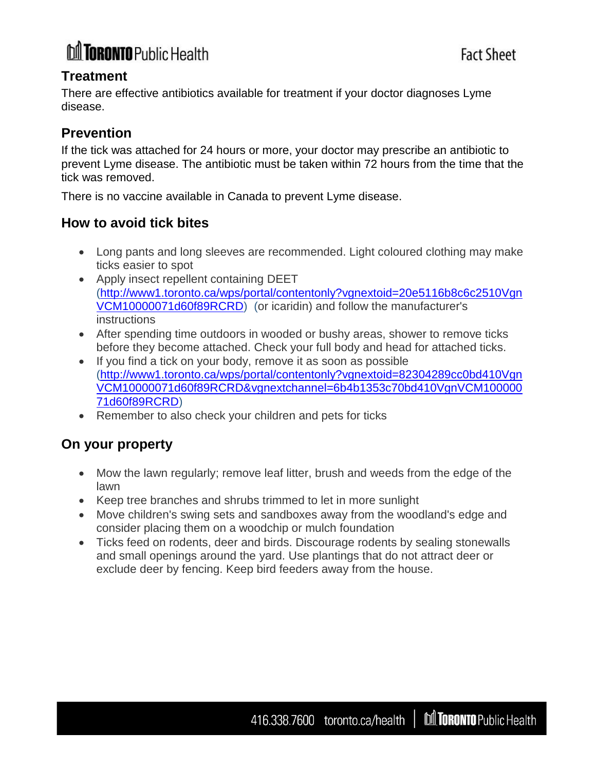# **M TORONTO** Public Health

#### **Treatment**

There are effective antibiotics available for treatment if your doctor diagnoses Lyme disease.

#### **Prevention**

If the tick was attached for 24 hours or more, your doctor may prescribe an antibiotic to prevent Lyme disease. The antibiotic must be taken within 72 hours from the time that the tick was removed.

There is no vaccine available in Canada to prevent Lyme disease.

#### **How to avoid tick bites**

- Long pants and long sleeves are recommended. Light coloured clothing may make ticks easier to spot
- Apply insect repellent containing DEET [\(http://www1.toronto.ca/wps/portal/contentonly?vgnextoid=20e5116b8c6c2510Vgn](http://www1.toronto.ca/wps/portal/contentonly?vgnextoid=20e5116b8c6c2510VgnVCM10000071d60f89RCRD) [VCM10000071d60f89RCRD\)](http://www1.toronto.ca/wps/portal/contentonly?vgnextoid=20e5116b8c6c2510VgnVCM10000071d60f89RCRD) (or icaridin) and follow the manufacturer's instructions
- After spending time outdoors in wooded or bushy areas, shower to remove ticks before they become attached. Check your full body and head for attached ticks.
- If you find a tick on your body, remove it as soon as possible [\(http://www1.toronto.ca/wps/portal/contentonly?vgnextoid=82304289cc0bd410Vgn](http://www1.toronto.ca/wps/portal/contentonly?vgnextoid=82304289cc0bd410VgnVCM10000071d60f89RCRD&vgnextchannel=6b4b1353c70bd410VgnVCM10000071d60f89RCRD) [VCM10000071d60f89RCRD&vgnextchannel=6b4b1353c70bd410VgnVCM100000](http://www1.toronto.ca/wps/portal/contentonly?vgnextoid=82304289cc0bd410VgnVCM10000071d60f89RCRD&vgnextchannel=6b4b1353c70bd410VgnVCM10000071d60f89RCRD) [71d60f89RCRD\)](http://www1.toronto.ca/wps/portal/contentonly?vgnextoid=82304289cc0bd410VgnVCM10000071d60f89RCRD&vgnextchannel=6b4b1353c70bd410VgnVCM10000071d60f89RCRD)
- Remember to also check your children and pets for ticks

#### **On your property**

- Mow the lawn regularly; remove leaf litter, brush and weeds from the edge of the lawn
- Keep tree branches and shrubs trimmed to let in more sunlight
- Move children's swing sets and sandboxes away from the woodland's edge and consider placing them on a woodchip or mulch foundation
- Ticks feed on rodents, deer and birds. Discourage rodents by sealing stonewalls and small openings around the yard. Use plantings that do not attract deer or exclude deer by fencing. Keep bird feeders away from the house.